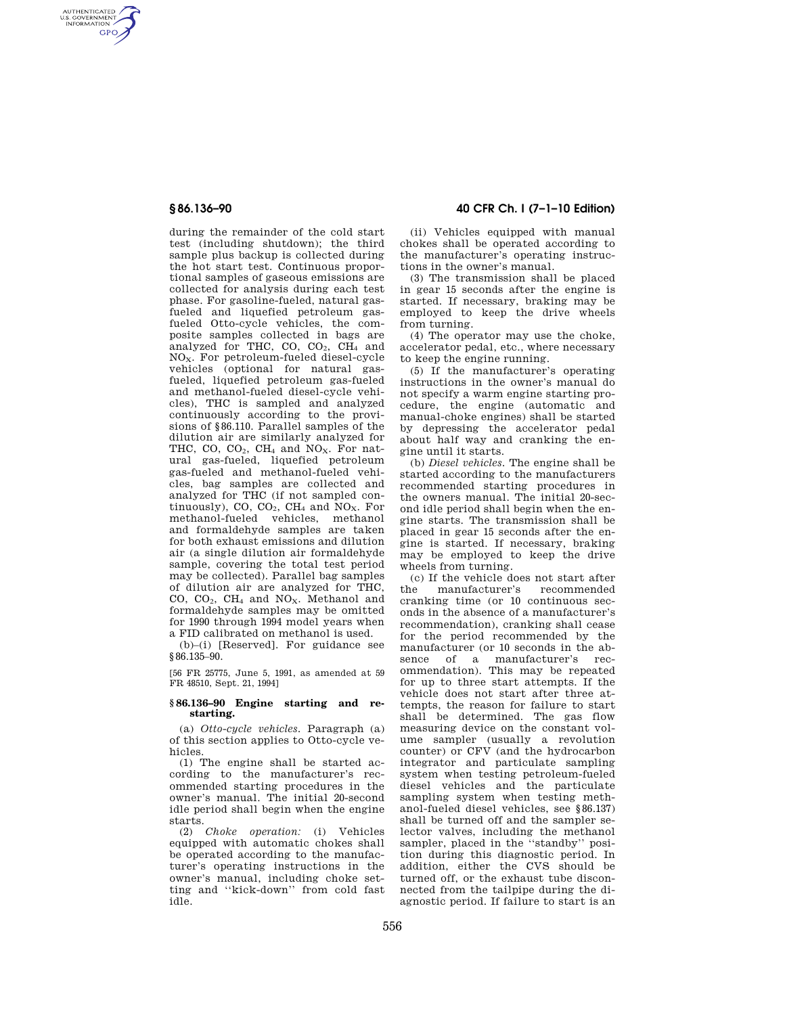AUTHENTICATED<br>U.S. GOVERNMENT<br>INFORMATION **GPO** 

> during the remainder of the cold start test (including shutdown); the third sample plus backup is collected during the hot start test. Continuous proportional samples of gaseous emissions are collected for analysis during each test phase. For gasoline-fueled, natural gasfueled and liquefied petroleum gasfueled Otto-cycle vehicles, the composite samples collected in bags are analyzed for THC, CO, CO<sub>2</sub>, CH<sub>4</sub> and NOX. For petroleum-fueled diesel-cycle vehicles (optional for natural gasfueled, liquefied petroleum gas-fueled and methanol-fueled diesel-cycle vehicles), THC is sampled and analyzed continuously according to the provisions of §86.110. Parallel samples of the dilution air are similarly analyzed for THC, CO,  $CO_2$ , CH<sub>4</sub> and NO<sub>X</sub>. For natural gas-fueled, liquefied petroleum gas-fueled and methanol-fueled vehicles, bag samples are collected and analyzed for THC (if not sampled continuously), CO,  $CO<sub>2</sub>$ , CH<sub>4</sub> and NO<sub>X</sub>. For methanol-fueled vehicles, methanol and formaldehyde samples are taken for both exhaust emissions and dilution air (a single dilution air formaldehyde sample, covering the total test period may be collected). Parallel bag samples of dilution air are analyzed for THC, CO, CO2, CH<sup>4</sup> and NOX. Methanol and formaldehyde samples may be omitted for 1990 through 1994 model years when a FID calibrated on methanol is used.

(b)–(i) [Reserved]. For guidance see §86.135-90.

[56 FR 25775, June 5, 1991, as amended at 59 FR 48510, Sept. 21, 1994]

### **§ 86.136–90 Engine starting and restarting.**

(a) *Otto-cycle vehicles.* Paragraph (a) of this section applies to Otto-cycle vehicles.

(1) The engine shall be started according to the manufacturer's recommended starting procedures in the owner's manual. The initial 20-second idle period shall begin when the engine starts.

(2) *Choke operation:* (i) Vehicles equipped with automatic chokes shall be operated according to the manufacturer's operating instructions in the owner's manual, including choke setting and ''kick-down'' from cold fast idle.

# **§ 86.136–90 40 CFR Ch. I (7–1–10 Edition)**

(ii) Vehicles equipped with manual chokes shall be operated according to the manufacturer's operating instructions in the owner's manual.

(3) The transmission shall be placed in gear 15 seconds after the engine is started. If necessary, braking may be employed to keep the drive wheels from turning.

(4) The operator may use the choke, accelerator pedal, etc., where necessary to keep the engine running.

(5) If the manufacturer's operating instructions in the owner's manual do not specify a warm engine starting procedure, the engine (automatic and manual-choke engines) shall be started by depressing the accelerator pedal about half way and cranking the engine until it starts.

(b) *Diesel vehicles.* The engine shall be started according to the manufacturers recommended starting procedures in the owners manual. The initial 20-second idle period shall begin when the engine starts. The transmission shall be placed in gear 15 seconds after the engine is started. If necessary, braking may be employed to keep the drive wheels from turning.

(c) If the vehicle does not start after<br>the manufacturer's recommended manufacturer's recommended cranking time (or 10 continuous seconds in the absence of a manufacturer's recommendation), cranking shall cease for the period recommended by the manufacturer (or 10 seconds in the absence of a manufacturer's recommendation). This may be repeated for up to three start attempts. If the vehicle does not start after three attempts, the reason for failure to start shall be determined. The gas flow measuring device on the constant volume sampler (usually a revolution counter) or CFV (and the hydrocarbon integrator and particulate sampling system when testing petroleum-fueled diesel vehicles and the particulate sampling system when testing methanol-fueled diesel vehicles, see §86.137) shall be turned off and the sampler selector valves, including the methanol sampler, placed in the ''standby'' position during this diagnostic period. In addition, either the CVS should be turned off, or the exhaust tube disconnected from the tailpipe during the diagnostic period. If failure to start is an